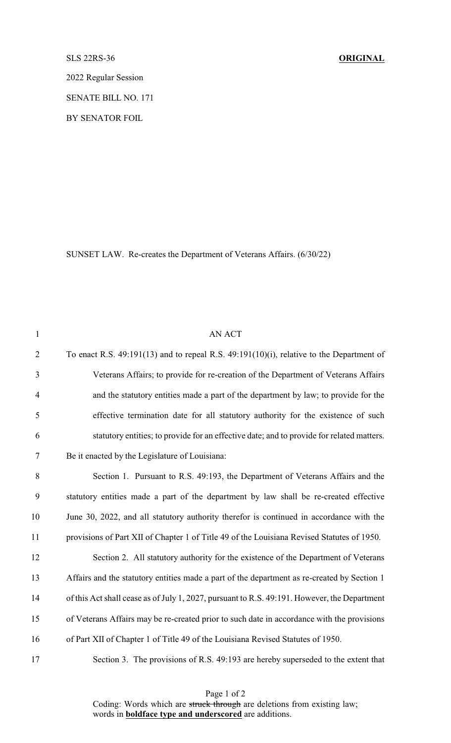## SLS 22RS-36 **ORIGINAL**

2022 Regular Session

SENATE BILL NO. 171

BY SENATOR FOIL

SUNSET LAW. Re-creates the Department of Veterans Affairs. (6/30/22)

| $\mathbf{1}$   | AN ACT                                                                                        |
|----------------|-----------------------------------------------------------------------------------------------|
| $\overline{2}$ | To enact R.S. $49:191(13)$ and to repeal R.S. $49:191(10)(i)$ , relative to the Department of |
| 3              | Veterans Affairs; to provide for re-creation of the Department of Veterans Affairs            |
| $\overline{4}$ | and the statutory entities made a part of the department by law; to provide for the           |
| 5              | effective termination date for all statutory authority for the existence of such              |
| 6              | statutory entities; to provide for an effective date; and to provide for related matters.     |
| $\tau$         | Be it enacted by the Legislature of Louisiana:                                                |
| $8\,$          | Section 1. Pursuant to R.S. 49:193, the Department of Veterans Affairs and the                |
| 9              | statutory entities made a part of the department by law shall be re-created effective         |
| 10             | June 30, 2022, and all statutory authority therefor is continued in accordance with the       |
| 11             | provisions of Part XII of Chapter 1 of Title 49 of the Louisiana Revised Statutes of 1950.    |
| 12             | Section 2. All statutory authority for the existence of the Department of Veterans            |
| 13             | Affairs and the statutory entities made a part of the department as re-created by Section 1   |
| 14             | of this Act shall cease as of July 1, 2027, pursuant to R.S. 49:191. However, the Department  |
| 15             | of Veterans Affairs may be re-created prior to such date in accordance with the provisions    |
| 16             | of Part XII of Chapter 1 of Title 49 of the Louisiana Revised Statutes of 1950.               |
| 17             | Section 3. The provisions of R.S. 49:193 are hereby superseded to the extent that             |